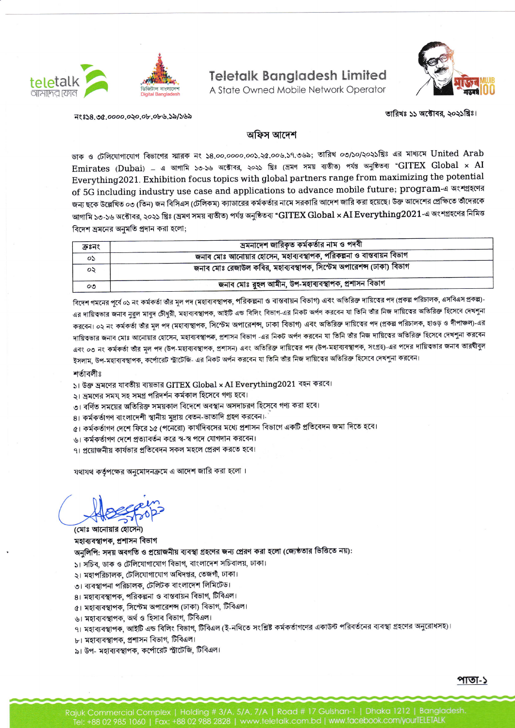

## **Teletalk Bangladesh Limited**

A State Owned Mobile Network Operator



न१:३४८.७७.००००.०२०.०৮.०৮৬.১৯/১৬৯

## তারিখঃ ১১ অক্টোবর, ২০২১খ্রিঃ।

## অফিস আদেশ

ডাক ও টেলিযোগাযোগ বিভাগের স্মারক নং ১৪.০০.০০০০.০০১.২৫.০০৬.১৭.৩৬৯; তারিখ ০৩/১০/২০২১খ্রিঃ এর মাধ্যমে United Arab Emirates (Dubai) - এ আগামি ১৩-১৬ অক্টোবর, ২০২১ খ্রিঃ (ভ্রমণ সময় ব্যতীত) পর্যন্ত অনুষ্ঠিতব্য "GITEX Global x AI Everything 2021. Exhibition focus topics with global partners range from maximizing the potential of 5G including industry use case and applications to advance mobile future; program-এ অংশগ্রহণের জন্য ছকে উল্লেখিত ০৩ (তিন) জন বিসিএস (টেলিকম) ক্যাডারের কর্মকর্তার নামে সরকারি আদেশ জারি করা হয়েছে। উক্ত আদেশের প্রেক্ষিতে তীদেরকে আগামি ১৩-১৬ অক্টোবর, ২০২১ খ্রিঃ (ভ্রমণ সময় ব্যতীত) পর্যন্ত অনুষ্ঠিতব্য "GITEX Global × AI Everything2021-এ অংশগ্রহণের নিমিত্ত বিদেশ ভ্রমনের অনুমতি প্রদান করা হলো;

| ক্রঃনং  | ভ্রমনাদেশ জারিকৃত কর্মকর্তার নাম ও পদবী                             |  |
|---------|---------------------------------------------------------------------|--|
| os      | জনাব মোঃ আনোয়ার হোসেন, মহাব্যবস্থাপক, পরিকল্পনা ও বান্তবায়ন বিভাগ |  |
| ০২      | জনাব মোঃ রেজাউল কবির, মহাব্যবস্থাপক, সিস্টেম অপারেশন্স (ঢাকা) বিভাগ |  |
| $\circ$ | জনাব মোঃ রুহল আমীন, উপ-মহাব্যবস্থাপক, প্রশাসন বিভাগ                 |  |

বিদেশ গমনের পূর্বে ০১ নং কর্মকর্তা তাঁর মূল পদ (মহাব্যবস্থাপক, পরিকল্পনা ও বাস্তবায়ন বিভাগ) এবং অতিরিক্ত দায়িত্বের পদ (প্রকল্প পরিচালক, এসবিএস প্রকল্প)-এর দায়িত্বভার জনাব নুরুল মাবুদ চৌধুরী, মহাব্যবস্থাপক, আইটি এন্ড বিলিং বিভাগ-এর নিকট অর্পণ করবেন যা তিনি তাঁর নিজ দায়িত্বের অতিরিক্ত হিসেবে দেখশুনা করবেন। ০২ নং কর্মকর্তা তাঁর মল পদ (মহাব্যস্থাপক, সিস্টেম অপারেশব্দ, ঢাকা বিভাগ) এবং অতিরিক্ত দায়িত্বের পদ (প্রকল্প পরিচালক, হাওড় ও দীপাঞ্চল)-এর দায়িত্বভার জনাব মোঃ আনোয়ার হোসেন, মহাব্যবস্থাপক, প্রশাসন বিভাগ -এর নিকট অর্পণ করবেন যা তিনি তাঁর নিজ দায়িত্বের অতিরিক্ত হিসেবে দেখশুনা করবেন এবং ০৩ নং কর্মকর্তা তাঁর মূল পদ (উপ-মহাব্যবস্থাপক, প্রশাসন) এবং অতিরিক্ত দায়িত্বের পদ (উপ-মহাব্যবস্থাপক, সংগ্রহ)-এর পদের দায়িত্বভার জনাব তারঘীবুল ইসলাম, উপ-মহাব্যবস্থাপক, কর্পোরেট স্ট্রাটেজি- এর নিকট অর্পন করবেন যা তিনি তাঁর নিজ দায়িত্বের অতিরিক্ত হিসেবে দেখশুনা করবেন।

## শর্তাবলীঃ

 $\vert$ া উক্ত ভ্রমণের যাবতীয় ব্যয়ভার GITEX Global × AI Everything2021 বহন করবে।

১। ভ্রমণের সময় সহ সমগ্র পরিদর্শন কর্মকাল হিসেবে গণ্য হবে।

৩। বর্ণিত সময়ের অতিরিক্ত সময়কাল বিদেশে অবস্থান অসদাচরণ হিসেবে গণ্য করা হবে।

৪। কর্মকর্তাগণ বাংলাদেশী স্থানীয় মদ্রায় বেতন-ভাতাদি গ্রহণ করবেন।

৫। কর্মকর্তাগণ দেশে ফিরে ১৫ (পনেরো) কার্যদিবসের মধ্যে প্রশাসন বিভাগে একটি প্রতিবেদন জমা দিতে হবে।

৬। কর্মকর্তাগণ দেশে প্রত্যাবর্তন করে স্ব-স্ব পদে যোগদান করবেন।

৭। প্রয়োজনীয় কার্যভার প্রতিবেদন সকল মহলে প্রেরণ করতে হবে।

যথাযথ কর্তৃপক্ষের অনুমোদনক্রমে এ আদেশ জারি করা হলো।

(মোঃ আনোয়ার হোসেন) মহাব্যবস্থাপক, প্ৰশাসন বিভাগ

অনুলিপি: সদয় অবগতি ও প্রয়োজনীয় ব্যবস্থা গ্রহণের জন্য প্রেরণ করা হলো (জ্যেষ্ঠতার ভিত্তিতে নয়):

- ১। সচিব, ডাক ও টেলিযোগাযোগ বিভাগ, বাংলাদেশ সচিবালয়, ঢাকা।
- ২। মহাপরিচালক, টেলিযোগাযোগ অধিদপ্তর, তেজগাঁ, ঢাকা।
- ৩। ব্যবস্থাপনা পরিচালক, টেলিটক বাংলাদেশ লিমিটেড।
- ৪। মহাব্যবস্থাপক, পরিকল্পনা ও বাস্তবায়ন বিভাগ, টিবিএল।
- ৫। মহাব্যবস্থাপক, সিস্টেম অপারেশন্স (ঢাকা) বিভাগ, টিবিএল।
- ৬। মহাব্যবস্থাপক, অৰ্থ ও হিসাব বিভাগ, টিবিএল।
- ৭। মহাব্যবস্থাপক, আইটি এন্ড বিলিং বিভাগ, টিবিএল (ই-নথিতে সংশ্লিষ্ট কর্মকর্তাগণের একাউন্ট পরিবর্তনের ব্যবস্থা গ্রহণের অনুরোধসহ)।
- ৮। মহাব্যবস্থাপক, প্রশাসন বিভাগ, টিবিএল।
- ৯। উপ- মহাব্যবস্থাপক, কর্পোরেট স্ট্রাটেজি, টিবিএল।

পাতা-১